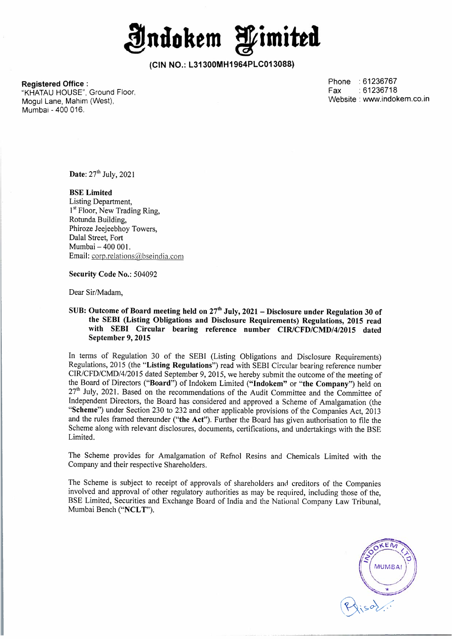**Jndoltem fimitta** 

**Registered Office :**  "KHATAU HOUSE", Ground Floor, Mogul Lane, Mahim (West),

Mumbai - 400 016.

Phone : 61236767<br>Fax : 61236718  $:61236718$ Website : www.indokem.co.in

**Date:** 27<sup>th</sup> July, 2021

**BSE Limited**  Listing Department, 1<sup>st</sup> Floor, New Trading Ring, Rotunda Building, Phiroze Jeejeebhoy Towers, Dalal Street, Fort Mumbai - 400 001. Email: corp.relations@bseindia.com

**Security Code No.:** 504092

Dear Sir/Madam,

**SUB: Outcome of Board meeting held on 27 th July, 2021 - Disclosure under Regulation 30 of the SEBI (Listing Obligations and Disclosure Requirements) Regulations, 2015 read with SEBI Circular bearing reference number CIR/CFD/CMD/4/2015 dated September 9, 2015** 

In terms of Regulation 30 of the SEBI (Listing Obligations and Disclosure Requirements) Regulations, 2015 (the **"Listing Regulations")** read with SEBI Circular bearing reference number CIR/CFD/CMD/4/2015 dated September 9, 2015, we hereby submit the outcome of the meeting of the Board of Directors **("Board")** of Indokem Limited **("lndokem"** or **"the Company")** held on 27<sup>th</sup> July, 2021. Based on the recommendations of the Audit Committee and the Committee of Independent Directors, the Board has considered and approved a Scheme of Amalgamation (the **"Scheme")** under Section 230 to 232 and other applicable provisions of the Companies Act, 2013 and the rules framed thereunder **("the Act").** Further the Board has given authorisation to file the Scheme along with relevant disclosures, documents, certifications, and undertakings with the BSE Limited.

The Scheme provides for Amalgamation of Refnol Resins and Chemicals Limited with the Company and their respective Shareholders.

The Scheme is subject to receipt of approvals of shareholders and creditors of the Companies involved and approval of other regulatory authorities as may be required, including those of the, BSE Limited, Securities and Exchange Board of India and the National Company Law Tribunal, Mumbai Bench **("NCL T").** 

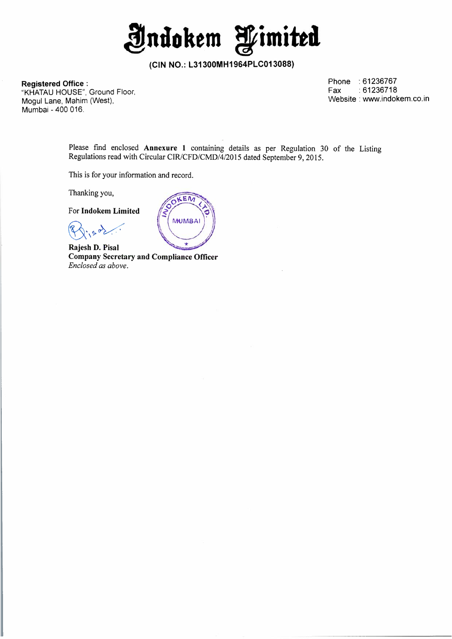**Jndokem fimitta** 

**Registered Office :**  "KHATAU HOUSE", Ground Floor, Mogul Lane, Mahim (West}, Mumbai - 400 016.

Phone : 61236767<br>Fax : 61236718  $:61236718$ Website : www.indokem.co.in

Please find enclosed **Annexure 1** containing details as per Regulation 30 of the Listing Regulations read with Circular CIR/CFD/CMD/4/2015 dated September 9, 2015.

This is for your information and record.

Thanking you,

For **lndokem Limited** 

**Rajesh D. Pisal Company Secretary and Compliance Officer**  *Enclosed as above.* 

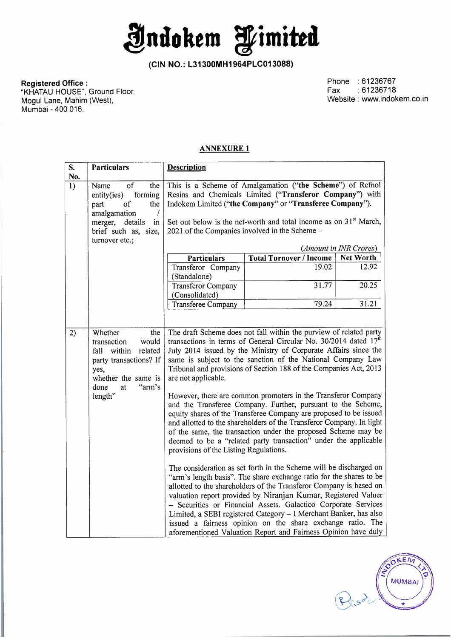**Jndokem limitttl** 

**Registered Office :**  "KHATAU HOUSE", Ground Floor, Mogul Lane, Mahim (West}, Mumbai - 400 016.

Phone :61236767 Fax :61236718 Website : www.indokem.co.in

## **ANNEXURE 1**

| S.        | <b>Particulars</b>                                                                                                                                              | <b>Description</b>                                                                                                                                                                                                                                                                                                                                                                                                                                                                                                                                                                                                                                                                                                                                                                                                                                                                                                                                                                                                                                                                                                                                                                                                                                                                                                                     |       |       |  |  |  |
|-----------|-----------------------------------------------------------------------------------------------------------------------------------------------------------------|----------------------------------------------------------------------------------------------------------------------------------------------------------------------------------------------------------------------------------------------------------------------------------------------------------------------------------------------------------------------------------------------------------------------------------------------------------------------------------------------------------------------------------------------------------------------------------------------------------------------------------------------------------------------------------------------------------------------------------------------------------------------------------------------------------------------------------------------------------------------------------------------------------------------------------------------------------------------------------------------------------------------------------------------------------------------------------------------------------------------------------------------------------------------------------------------------------------------------------------------------------------------------------------------------------------------------------------|-------|-------|--|--|--|
| No.<br>1) | of<br>Name<br>the<br>forming<br>entity(ies)<br>part<br>of<br>the<br>amalgamation<br>$\prime$<br>merger, details<br>in<br>brief such as, size,<br>turnover etc.; | This is a Scheme of Amalgamation ("the Scheme") of Refnol<br>Resins and Chemicals Limited ("Transferor Company") with<br>Indokem Limited ("the Company" or "Transferee Company").<br>Set out below is the net-worth and total income as on $31st$ March,<br>2021 of the Companies involved in the Scheme-                                                                                                                                                                                                                                                                                                                                                                                                                                                                                                                                                                                                                                                                                                                                                                                                                                                                                                                                                                                                                              |       |       |  |  |  |
|           |                                                                                                                                                                 | (Amount in INR Crores)<br><b>Total Turnover / Income</b><br><b>Net Worth</b><br><b>Particulars</b>                                                                                                                                                                                                                                                                                                                                                                                                                                                                                                                                                                                                                                                                                                                                                                                                                                                                                                                                                                                                                                                                                                                                                                                                                                     |       |       |  |  |  |
|           |                                                                                                                                                                 | Transferor Company<br>(Standalone)                                                                                                                                                                                                                                                                                                                                                                                                                                                                                                                                                                                                                                                                                                                                                                                                                                                                                                                                                                                                                                                                                                                                                                                                                                                                                                     | 19.02 | 12.92 |  |  |  |
|           |                                                                                                                                                                 | <b>Transferor Company</b><br>(Consolidated)                                                                                                                                                                                                                                                                                                                                                                                                                                                                                                                                                                                                                                                                                                                                                                                                                                                                                                                                                                                                                                                                                                                                                                                                                                                                                            | 31.77 | 20.25 |  |  |  |
|           |                                                                                                                                                                 | <b>Transferee Company</b>                                                                                                                                                                                                                                                                                                                                                                                                                                                                                                                                                                                                                                                                                                                                                                                                                                                                                                                                                                                                                                                                                                                                                                                                                                                                                                              | 79.24 | 31.21 |  |  |  |
| 2)        | Whether<br>the<br>transaction<br>would<br>fall within<br>related<br>party transactions? If<br>yes,<br>whether the same is<br>"arm's<br>done<br>at<br>length"    | The draft Scheme does not fall within the purview of related party<br>transactions in terms of General Circular No. 30/2014 dated 17 <sup>th</sup><br>July 2014 issued by the Ministry of Corporate Affairs since the<br>same is subject to the sanction of the National Company Law<br>Tribunal and provisions of Section 188 of the Companies Act, 2013<br>are not applicable.<br>However, there are common promoters in the Transferor Company<br>and the Transferee Company. Further, pursuant to the Scheme,<br>equity shares of the Transferee Company are proposed to be issued<br>and allotted to the shareholders of the Transferor Company. In light<br>of the same, the transaction under the proposed Scheme may be<br>deemed to be a "related party transaction" under the applicable<br>provisions of the Listing Regulations.<br>The consideration as set forth in the Scheme will be discharged on<br>"arm's length basis". The share exchange ratio for the shares to be<br>allotted to the shareholders of the Transferor Company is based on<br>valuation report provided by Niranjan Kumar, Registered Valuer<br>- Securities or Financial Assets. Galactico Corporate Services<br>Limited, a SEBI registered Category - I Merchant Banker, has also<br>issued a fairness opinion on the share exchange ratio. The |       |       |  |  |  |

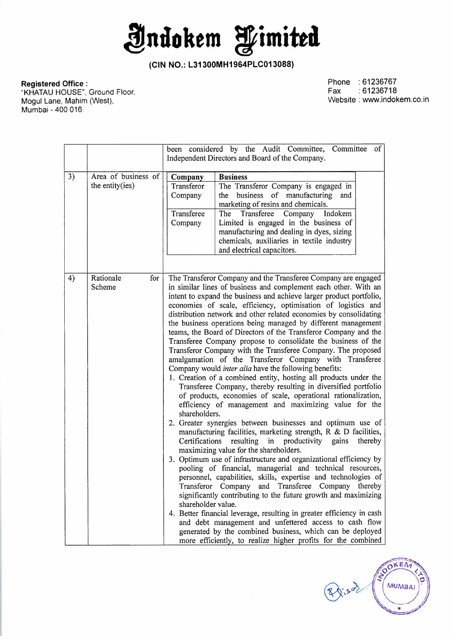**Jndokem fimitta** 

**Registered Office :** 

Phone :61236767 Fax :61236718 Website : www.indokem.co.in

OKEN

**MUMBAI** 

 $\rightarrow$ 

Risd.

"KHATAU HOUSE", Ground Floor, Mogul Lane, Mahim (West), Mumbai - 400 016.

|    |                                        | been considered by the Audit Committee, Committee<br>$\circ$ f                                                                                                                                                                                                                                                                                                                                                                                                                                                                                                                                                                                                                                                                                                                                                                                                                                                                                                                                                                                                                                                                                                                                                                                                                                                                                                                                                                                                                                                                                                                                                                                                                                                                                                                                                                                                                           |  |  |
|----|----------------------------------------|------------------------------------------------------------------------------------------------------------------------------------------------------------------------------------------------------------------------------------------------------------------------------------------------------------------------------------------------------------------------------------------------------------------------------------------------------------------------------------------------------------------------------------------------------------------------------------------------------------------------------------------------------------------------------------------------------------------------------------------------------------------------------------------------------------------------------------------------------------------------------------------------------------------------------------------------------------------------------------------------------------------------------------------------------------------------------------------------------------------------------------------------------------------------------------------------------------------------------------------------------------------------------------------------------------------------------------------------------------------------------------------------------------------------------------------------------------------------------------------------------------------------------------------------------------------------------------------------------------------------------------------------------------------------------------------------------------------------------------------------------------------------------------------------------------------------------------------------------------------------------------------|--|--|
|    |                                        | Independent Directors and Board of the Company.                                                                                                                                                                                                                                                                                                                                                                                                                                                                                                                                                                                                                                                                                                                                                                                                                                                                                                                                                                                                                                                                                                                                                                                                                                                                                                                                                                                                                                                                                                                                                                                                                                                                                                                                                                                                                                          |  |  |
| 3) | Area of business of<br>the entity(ies) | <b>Business</b><br>Company<br>Transferor<br>The Transferor Company is engaged in<br>business of manufacturing<br>Company<br>the<br>and<br>marketing of resins and chemicals.<br>Transferee<br>Transferee<br>The<br>Company<br>Indokem<br>Limited is engaged in the business of<br>Company<br>manufacturing and dealing in dyes, sizing<br>chemicals, auxiliaries in textile industry<br>and electrical capacitors.                                                                                                                                                                                                                                                                                                                                                                                                                                                                                                                                                                                                                                                                                                                                                                                                                                                                                                                                                                                                                                                                                                                                                                                                                                                                                                                                                                                                                                                                       |  |  |
| 4) | Rationale<br>for<br>Scheme             | The Transferor Company and the Transferee Company are engaged<br>in similar lines of business and complement each other. With an<br>intent to expand the business and achieve larger product portfolio,<br>economies of scale, efficiency, optimisation of logistics and<br>distribution network and other related economies by consolidating<br>the business operations being managed by different management<br>teams, the Board of Directors of the Transferor Company and the<br>Transferee Company propose to consolidate the business of the<br>Transferor Company with the Transferee Company. The proposed<br>amalgamation of the Transferor Company with Transferee<br>Company would inter alia have the following benefits:<br>1. Creation of a combined entity, hosting all products under the<br>Transferee Company, thereby resulting in diversified portfolio<br>of products, economies of scale, operational rationalization,<br>efficiency of management and maximizing value for the<br>shareholders.<br>2. Greater synergies between businesses and optimum use of<br>manufacturing facilities, marketing strength, $R \& D$ facilities,<br>resulting<br>in productivity gains<br>Certifications<br>thereby<br>maximizing value for the shareholders.<br>3. Optimum use of infrastructure and organizational efficiency by<br>pooling of financial, managerial and technical resources,<br>personnel, capabilities, skills, expertise and technologies of<br>Transferor Company and Transferee Company thereby<br>significantly contributing to the future growth and maximizing<br>shareholder value.<br>4. Better financial leverage, resulting in greater efficiency in cash<br>and debt management and unfettered access to cash flow<br>generated by the combined business, which can be deployed<br>more efficiently, to realize higher profits for the combined |  |  |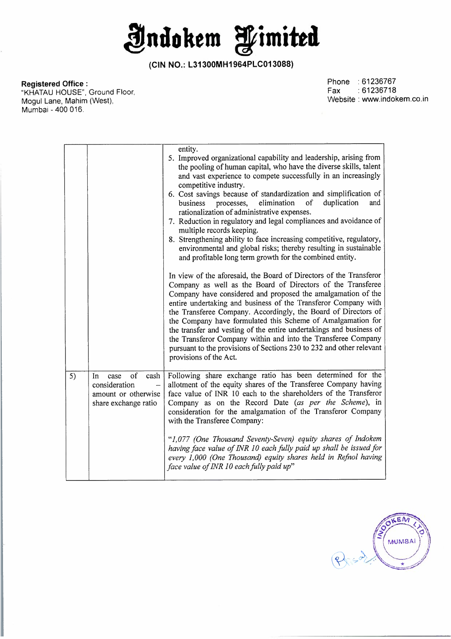**indokem fimitta** 

## **Registered Office :**

"KHATAU HOUSE", Ground Floor, Mogul Lane, Mahim (West), Mumbai - 400 016.

Phone :61236767 Fax :61236718 Website : www.indokem.co.in

|    |                                                                                          | entity.<br>5. Improved organizational capability and leadership, arising from<br>the pooling of human capital, who have the diverse skills, talent<br>and vast experience to compete successfully in an increasingly<br>competitive industry.<br>6. Cost savings because of standardization and simplification of<br>of<br>duplication<br>elimination<br>processes,<br>and<br>business<br>rationalization of administrative expenses.<br>7. Reduction in regulatory and legal compliances and avoidance of<br>multiple records keeping.<br>8. Strengthening ability to face increasing competitive, regulatory,<br>environmental and global risks; thereby resulting in sustainable<br>and profitable long term growth for the combined entity.<br>In view of the aforesaid, the Board of Directors of the Transferor<br>Company as well as the Board of Directors of the Transferee<br>Company have considered and proposed the amalgamation of the<br>entire undertaking and business of the Transferor Company with<br>the Transferee Company. Accordingly, the Board of Directors of<br>the Company have formulated this Scheme of Amalgamation for<br>the transfer and vesting of the entire undertakings and business of<br>the Transferor Company within and into the Transferee Company<br>pursuant to the provisions of Sections 230 to 232 and other relevant<br>provisions of the Act. |
|----|------------------------------------------------------------------------------------------|---------------------------------------------------------------------------------------------------------------------------------------------------------------------------------------------------------------------------------------------------------------------------------------------------------------------------------------------------------------------------------------------------------------------------------------------------------------------------------------------------------------------------------------------------------------------------------------------------------------------------------------------------------------------------------------------------------------------------------------------------------------------------------------------------------------------------------------------------------------------------------------------------------------------------------------------------------------------------------------------------------------------------------------------------------------------------------------------------------------------------------------------------------------------------------------------------------------------------------------------------------------------------------------------------------------------------------------------------------------------------------------------------|
| 5) | of<br>case<br>cash<br>In<br>consideration<br>amount or otherwise<br>share exchange ratio | Following share exchange ratio has been determined for the<br>allotment of the equity shares of the Transferee Company having<br>face value of INR 10 each to the shareholders of the Transferor<br>Company as on the Record Date (as per the Scheme), in<br>consideration for the amalgamation of the Transferor Company<br>with the Transferee Company:<br>"1,077 (One Thousand Seventy-Seven) equity shares of Indokem<br>having face value of INR 10 each fully paid up shall be issued for<br>every 1,000 (One Thousand) equity shares held in Refnol having<br>face value of INR 10 each fully paid up"                                                                                                                                                                                                                                                                                                                                                                                                                                                                                                                                                                                                                                                                                                                                                                                     |